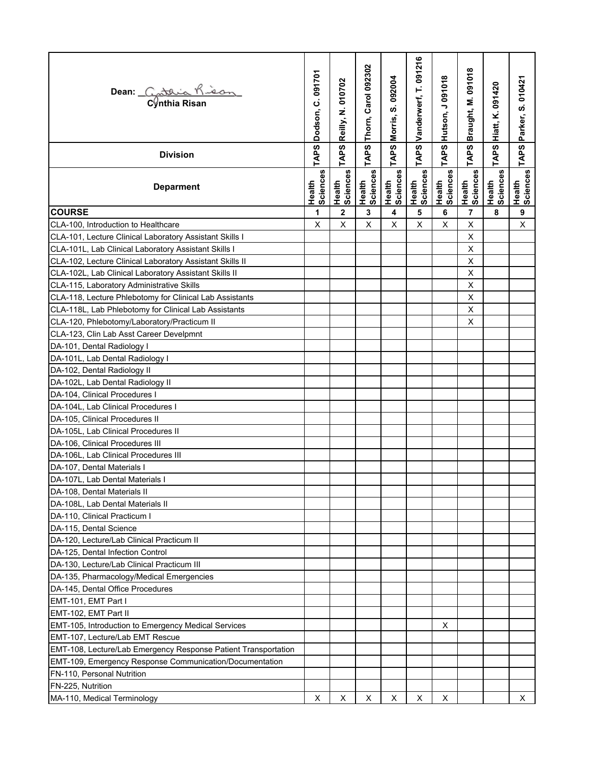| Dean: Cataria Kison                                                                    | C.091701<br>Dodson, | Reilly, N. 010702  | Thorn, Carol 092302 | S. 092004<br>Morris, | Vanderwerf, T. 091216 | Hutson, J 091018   | Braught, M. 091018       | Hiatt, K. 091420   | Parker, S. 010421  |
|----------------------------------------------------------------------------------------|---------------------|--------------------|---------------------|----------------------|-----------------------|--------------------|--------------------------|--------------------|--------------------|
| <b>Division</b>                                                                        | TAPS                | TAPS               | TAPS                | TAPS                 | TAPS                  | TAPS               | <b>TAPS</b>              | TAPS               | <b>TAPS</b>        |
| <b>Deparment</b>                                                                       | Health<br>Sciences  | Health<br>Sciences | Health<br>Sciences  | Health<br>Sciences   | Health<br>Sciences    | Health<br>Sciences | Health<br>Sciences       | Health<br>Sciences | Health<br>Sciences |
| <b>COURSE</b>                                                                          | 1                   | $\overline{2}$     | 3                   | 4                    | 5                     | 6                  | $\overline{\phantom{a}}$ | 8                  | 9                  |
| CLA-100, Introduction to Healthcare                                                    | X                   | X                  | X                   | X                    | X                     | $\pmb{\times}$     | X                        |                    | $\mathsf{X}$       |
| CLA-101, Lecture Clinical Laboratory Assistant Skills I                                |                     |                    |                     |                      |                       |                    | Χ                        |                    |                    |
| CLA-101L, Lab Clinical Laboratory Assistant Skills I                                   |                     |                    |                     |                      |                       |                    | X                        |                    |                    |
| CLA-102, Lecture Clinical Laboratory Assistant Skills II                               |                     |                    |                     |                      |                       |                    | X                        |                    |                    |
| CLA-102L, Lab Clinical Laboratory Assistant Skills II                                  |                     |                    |                     |                      |                       |                    | X                        |                    |                    |
| CLA-115, Laboratory Administrative Skills                                              |                     |                    |                     |                      |                       |                    | X                        |                    |                    |
| CLA-118, Lecture Phlebotomy for Clinical Lab Assistants                                |                     |                    |                     |                      |                       |                    | X                        |                    |                    |
| CLA-118L, Lab Phlebotomy for Clinical Lab Assistants                                   |                     |                    |                     |                      |                       |                    | X                        |                    |                    |
| CLA-120, Phlebotomy/Laboratory/Practicum II                                            |                     |                    |                     |                      |                       |                    | X                        |                    |                    |
| CLA-123, Clin Lab Asst Career Develpmnt                                                |                     |                    |                     |                      |                       |                    |                          |                    |                    |
| DA-101, Dental Radiology I                                                             |                     |                    |                     |                      |                       |                    |                          |                    |                    |
| DA-101L, Lab Dental Radiology I                                                        |                     |                    |                     |                      |                       |                    |                          |                    |                    |
| DA-102, Dental Radiology II                                                            |                     |                    |                     |                      |                       |                    |                          |                    |                    |
| DA-102L, Lab Dental Radiology II                                                       |                     |                    |                     |                      |                       |                    |                          |                    |                    |
| DA-104, Clinical Procedures I                                                          |                     |                    |                     |                      |                       |                    |                          |                    |                    |
| DA-104L, Lab Clinical Procedures I                                                     |                     |                    |                     |                      |                       |                    |                          |                    |                    |
| DA-105, Clinical Procedures II                                                         |                     |                    |                     |                      |                       |                    |                          |                    |                    |
| DA-105L, Lab Clinical Procedures II                                                    |                     |                    |                     |                      |                       |                    |                          |                    |                    |
| DA-106, Clinical Procedures III                                                        |                     |                    |                     |                      |                       |                    |                          |                    |                    |
| DA-106L, Lab Clinical Procedures III                                                   |                     |                    |                     |                      |                       |                    |                          |                    |                    |
| DA-107, Dental Materials I                                                             |                     |                    |                     |                      |                       |                    |                          |                    |                    |
| DA-107L, Lab Dental Materials I                                                        |                     |                    |                     |                      |                       |                    |                          |                    |                    |
| DA-108, Dental Materials II                                                            |                     |                    |                     |                      |                       |                    |                          |                    |                    |
| DA-108L, Lab Dental Materials II                                                       |                     |                    |                     |                      |                       |                    |                          |                    |                    |
| DA-110, Clinical Practicum I                                                           |                     |                    |                     |                      |                       |                    |                          |                    |                    |
| DA-115, Dental Science                                                                 |                     |                    |                     |                      |                       |                    |                          |                    |                    |
| DA-120, Lecture/Lab Clinical Practicum II                                              |                     |                    |                     |                      |                       |                    |                          |                    |                    |
| DA-125, Dental Infection Control                                                       |                     |                    |                     |                      |                       |                    |                          |                    |                    |
| DA-130, Lecture/Lab Clinical Practicum III                                             |                     |                    |                     |                      |                       |                    |                          |                    |                    |
| DA-135, Pharmacology/Medical Emergencies                                               |                     |                    |                     |                      |                       |                    |                          |                    |                    |
| DA-145, Dental Office Procedures                                                       |                     |                    |                     |                      |                       |                    |                          |                    |                    |
|                                                                                        |                     |                    |                     |                      |                       |                    |                          |                    |                    |
| EMT-101, EMT Part I                                                                    |                     |                    |                     |                      |                       |                    |                          |                    |                    |
| EMT-102, EMT Part II                                                                   |                     |                    |                     |                      |                       |                    |                          |                    |                    |
| EMT-105, Introduction to Emergency Medical Services<br>EMT-107, Lecture/Lab EMT Rescue |                     |                    |                     |                      |                       | X                  |                          |                    |                    |
|                                                                                        |                     |                    |                     |                      |                       |                    |                          |                    |                    |
| EMT-108, Lecture/Lab Emergency Response Patient Transportation                         |                     |                    |                     |                      |                       |                    |                          |                    |                    |
| EMT-109, Emergency Response Communication/Documentation                                |                     |                    |                     |                      |                       |                    |                          |                    |                    |
| FN-110, Personal Nutrition                                                             |                     |                    |                     |                      |                       |                    |                          |                    |                    |
| FN-225, Nutrition                                                                      |                     |                    |                     |                      |                       |                    |                          |                    |                    |
| MA-110, Medical Terminology                                                            | х                   | Χ                  | Х                   | Χ                    | Χ                     | X                  |                          |                    | X.                 |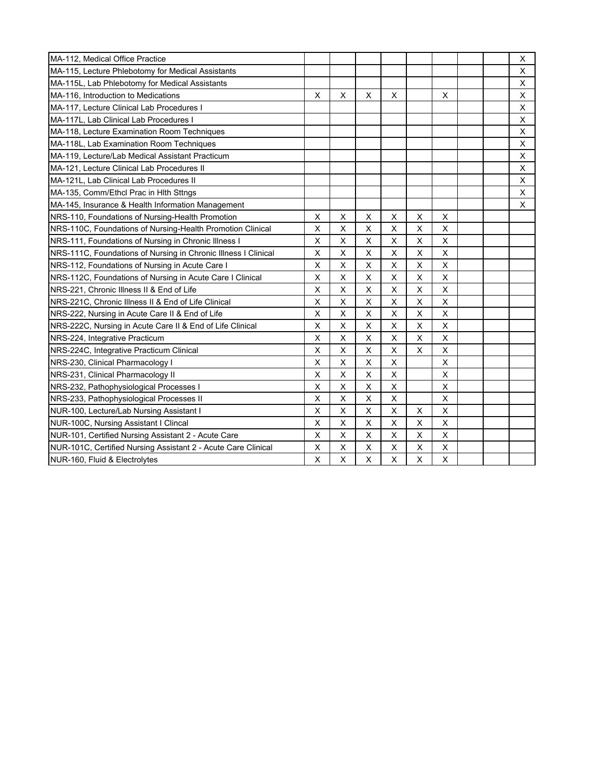| MA-112, Medical Office Practice                                |         |   |                |                    |             |                           |  | X |
|----------------------------------------------------------------|---------|---|----------------|--------------------|-------------|---------------------------|--|---|
| MA-115, Lecture Phlebotomy for Medical Assistants              |         |   |                |                    |             |                           |  | X |
| MA-115L, Lab Phlebotomy for Medical Assistants                 |         |   |                |                    |             |                           |  | X |
| MA-116, Introduction to Medications                            | X       | X | X              | X                  |             | X                         |  | X |
| MA-117, Lecture Clinical Lab Procedures I                      |         |   |                |                    |             |                           |  | X |
| MA-117L, Lab Clinical Lab Procedures I                         |         |   |                |                    |             |                           |  | X |
| MA-118, Lecture Examination Room Techniques                    |         |   |                |                    |             |                           |  | X |
| MA-118L, Lab Examination Room Techniques                       |         |   |                |                    |             |                           |  | X |
| MA-119, Lecture/Lab Medical Assistant Practicum                |         |   |                |                    |             |                           |  | X |
| MA-121, Lecture Clinical Lab Procedures II                     |         |   |                |                    |             |                           |  | X |
| MA-121L, Lab Clinical Lab Procedures II                        |         |   |                |                    |             |                           |  | X |
| MA-135, Comm/Ethcl Prac in Hlth Sttngs                         |         |   |                |                    |             |                           |  | X |
| MA-145, Insurance & Health Information Management              |         |   |                |                    |             |                           |  | X |
| NRS-110, Foundations of Nursing-Health Promotion               | X       | X | X              | X                  | X           | X                         |  |   |
| NRS-110C, Foundations of Nursing-Health Promotion Clinical     | $\sf X$ | X | X              | $\mathsf X$        | X           | $\pmb{\times}$            |  |   |
| NRS-111, Foundations of Nursing in Chronic Illness I           | X       | X | X              | X                  | X           | X                         |  |   |
| NRS-111C, Foundations of Nursing in Chronic Illness I Clinical | X       | X | X              | X                  | Χ           | X                         |  |   |
| NRS-112, Foundations of Nursing in Acute Care I                | $\sf X$ | X | $\mathsf X$    | $\mathsf X$        | $\mathsf X$ | $\pmb{\times}$            |  |   |
| NRS-112C, Foundations of Nursing in Acute Care I Clinical      | X       | X | X              | $\mathsf{X}$       | X           | $\pmb{\times}$            |  |   |
| NRS-221, Chronic Illness II & End of Life                      | X       | X | X              | X                  | X           | $\times$                  |  |   |
| NRS-221C. Chronic Illness II & End of Life Clinical            | X       | X | X              | X                  | X           | X                         |  |   |
| NRS-222, Nursing in Acute Care II & End of Life                | X       | X | X              | X                  | Χ           | X                         |  |   |
| NRS-222C, Nursing in Acute Care II & End of Life Clinical      | $\sf X$ | X | X              | $\pmb{\mathsf{X}}$ | X           | $\pmb{\times}$            |  |   |
| NRS-224, Integrative Practicum                                 | X       | X | X              | $\mathsf{X}$       | X           | X                         |  |   |
| NRS-224C, Integrative Practicum Clinical                       | X       | X | X              | $\mathsf{X}$       | $\times$    | $\boldsymbol{\mathsf{X}}$ |  |   |
| NRS-230, Clinical Pharmacology I                               | X       | X | X              | X                  |             | X                         |  |   |
| NRS-231, Clinical Pharmacology II                              | $\sf X$ | X | $\pmb{\times}$ | X                  |             | $\pmb{\times}$            |  |   |
| NRS-232, Pathophysiological Processes I                        | X       | X | X              | X                  |             | X                         |  |   |
| NRS-233, Pathophysiological Processes II                       | X       | X | X              | $\mathsf X$        |             | X                         |  |   |
| NUR-100, Lecture/Lab Nursing Assistant I                       | X       | X | X              | $\mathsf X$        | X           | X                         |  |   |
| NUR-100C, Nursing Assistant I Clincal                          | X       | X | X              | X                  | X           | $\mathsf X$               |  |   |
| NUR-101, Certified Nursing Assistant 2 - Acute Care            | X       | X | X              | X                  | X           | X                         |  |   |
| NUR-101C, Certified Nursing Assistant 2 - Acute Care Clinical  | X       | X | X              | X                  | Χ           | X                         |  |   |
| NUR-160, Fluid & Electrolytes                                  | X       | X | X              | X                  | Χ           | X                         |  |   |